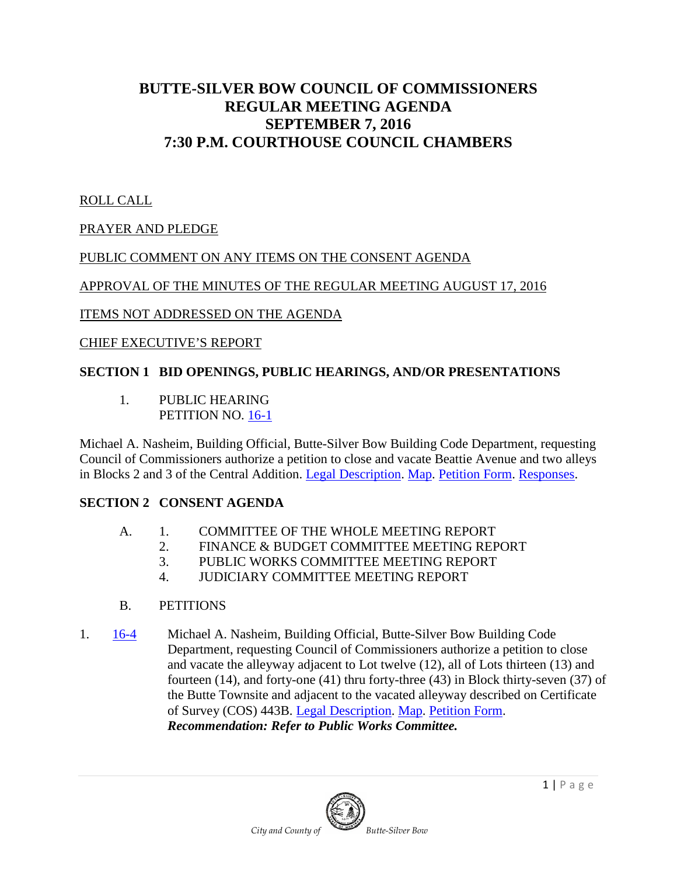# **BUTTE-SILVER BOW COUNCIL OF COMMISSIONERS REGULAR MEETING AGENDA SEPTEMBER 7, 2016 7:30 P.M. COURTHOUSE COUNCIL CHAMBERS**

### ROLL CALL

## PRAYER AND PLEDGE

## PUBLIC COMMENT ON ANY ITEMS ON THE CONSENT AGENDA

### APPROVAL OF THE MINUTES OF THE REGULAR MEETING AUGUST 17, 2016

### ITEMS NOT ADDRESSED ON THE AGENDA

### CHIEF EXECUTIVE'S REPORT

## **SECTION 1 BID OPENINGS, PUBLIC HEARINGS, AND/OR PRESENTATIONS**

1. PUBLIC HEARING PETITION NO. [16-1](http://co.silverbow.mt.us/DocumentCenter/View/7891)

Michael A. Nasheim, Building Official, Butte-Silver Bow Building Code Department, requesting Council of Commissioners authorize a petition to close and vacate Beattie Avenue and two alleys in Blocks 2 and 3 of the Central Addition. [Legal Description.](http://co.silverbow.mt.us/DocumentCenter/View/7892) [Map.](http://co.silverbow.mt.us/DocumentCenter/View/7893) [Petition Form.](http://co.silverbow.mt.us/DocumentCenter/View/7894) [Responses.](http://co.silverbow.mt.us/DocumentCenter/View/7915)

## **SECTION 2 CONSENT AGENDA**

- A. 1. COMMITTEE OF THE WHOLE MEETING REPORT
	- 2. FINANCE & BUDGET COMMITTEE MEETING REPORT
	- 3. PUBLIC WORKS COMMITTEE MEETING REPORT
	- 4. JUDICIARY COMMITTEE MEETING REPORT
- B. PETITIONS
- 1. [16-4](http://www.co.silverbow.mt.us/DocumentCenter/View/7993) Michael A. Nasheim, Building Official, Butte-Silver Bow Building Code Department, requesting Council of Commissioners authorize a petition to close and vacate the alleyway adjacent to Lot twelve (12), all of Lots thirteen (13) and fourteen (14), and forty-one (41) thru forty-three (43) in Block thirty-seven (37) of the Butte Townsite and adjacent to the vacated alleyway described on Certificate of Survey (COS) 443B. [Legal Description.](http://www.co.silverbow.mt.us/DocumentCenter/View/7990) [Map.](http://www.co.silverbow.mt.us/DocumentCenter/View/7991) [Petition Form.](http://www.co.silverbow.mt.us/DocumentCenter/View/7992) *Recommendation: Refer to Public Works Committee.*

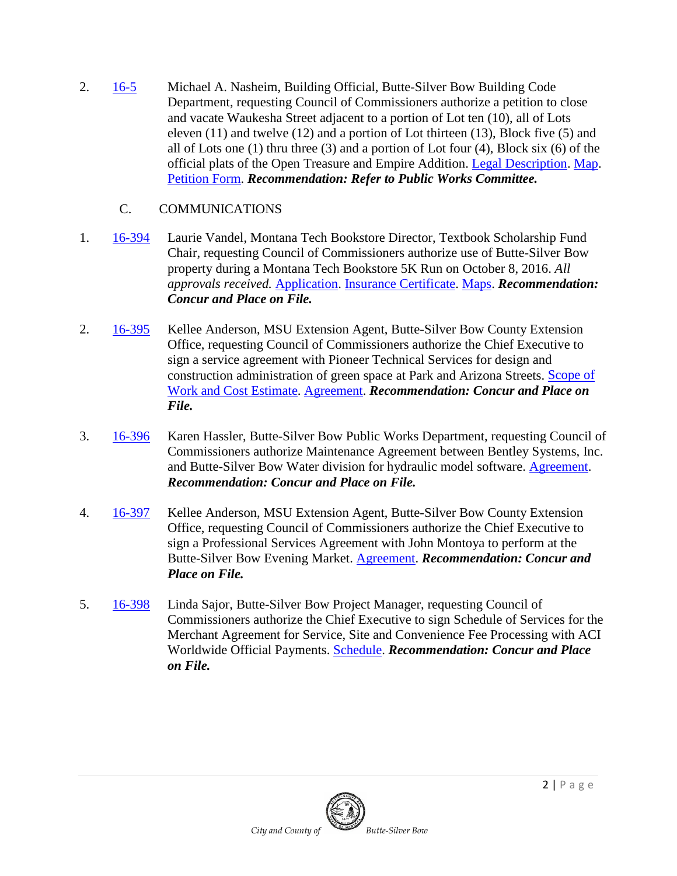2. [16-5](http://www.co.silverbow.mt.us/DocumentCenter/View/7997) Michael A. Nasheim, Building Official, Butte-Silver Bow Building Code Department, requesting Council of Commissioners authorize a petition to close and vacate Waukesha Street adjacent to a portion of Lot ten (10), all of Lots eleven (11) and twelve (12) and a portion of Lot thirteen (13), Block five (5) and all of Lots one (1) thru three (3) and a portion of Lot four (4), Block six (6) of the official plats of the Open Treasure and Empire Addition. [Legal Description.](http://www.co.silverbow.mt.us/DocumentCenter/View/7994) [Map.](http://www.co.silverbow.mt.us/DocumentCenter/View/7995) [Petition Form.](http://www.co.silverbow.mt.us/DocumentCenter/View/7996) *Recommendation: Refer to Public Works Committee.*

## C. COMMUNICATIONS

- 1. [16-394](http://www.co.silverbow.mt.us/DocumentCenter/View/7956) Laurie Vandel, Montana Tech Bookstore Director, Textbook Scholarship Fund Chair, requesting Council of Commissioners authorize use of Butte-Silver Bow property during a Montana Tech Bookstore 5K Run on October 8, 2016. *All approvals received.* [Application.](http://www.co.silverbow.mt.us/DocumentCenter/View/7952) [Insurance Certificate.](http://www.co.silverbow.mt.us/DocumentCenter/View/7954) [Maps.](http://www.co.silverbow.mt.us/DocumentCenter/View/7955) *Recommendation: Concur and Place on File.*
- 2. [16-395](http://www.co.silverbow.mt.us/DocumentCenter/View/7959) Kellee Anderson, MSU Extension Agent, Butte-Silver Bow County Extension Office, requesting Council of Commissioners authorize the Chief Executive to sign a service agreement with Pioneer Technical Services for design and construction administration of green space at Park and Arizona Streets. [Scope of](http://www.co.silverbow.mt.us/DocumentCenter/View/7958)  [Work and Cost Estimate.](http://www.co.silverbow.mt.us/DocumentCenter/View/7958) [Agreement.](http://www.co.silverbow.mt.us/DocumentCenter/View/7957) *Recommendation: Concur and Place on File.*
- 3. [16-396](http://www.co.silverbow.mt.us/DocumentCenter/View/7961) Karen Hassler, Butte-Silver Bow Public Works Department, requesting Council of Commissioners authorize Maintenance Agreement between Bentley Systems, Inc. and Butte-Silver Bow Water division for hydraulic model software. [Agreement.](http://www.co.silverbow.mt.us/DocumentCenter/View/7960) *Recommendation: Concur and Place on File.*
- 4. [16-397](http://www.co.silverbow.mt.us/DocumentCenter/View/7963) Kellee Anderson, MSU Extension Agent, Butte-Silver Bow County Extension Office, requesting Council of Commissioners authorize the Chief Executive to sign a Professional Services Agreement with John Montoya to perform at the Butte-Silver Bow Evening Market. [Agreement.](http://www.co.silverbow.mt.us/DocumentCenter/View/7962) *Recommendation: Concur and Place on File.*
- 5. [16-398](http://www.co.silverbow.mt.us/DocumentCenter/View/7965) Linda Sajor, Butte-Silver Bow Project Manager, requesting Council of Commissioners authorize the Chief Executive to sign Schedule of Services for the Merchant Agreement for Service, Site and Convenience Fee Processing with ACI Worldwide Official Payments. [Schedule.](http://co.silverbow.mt.us/DocumentCenter/View/8044) *Recommendation: Concur and Place on File.*

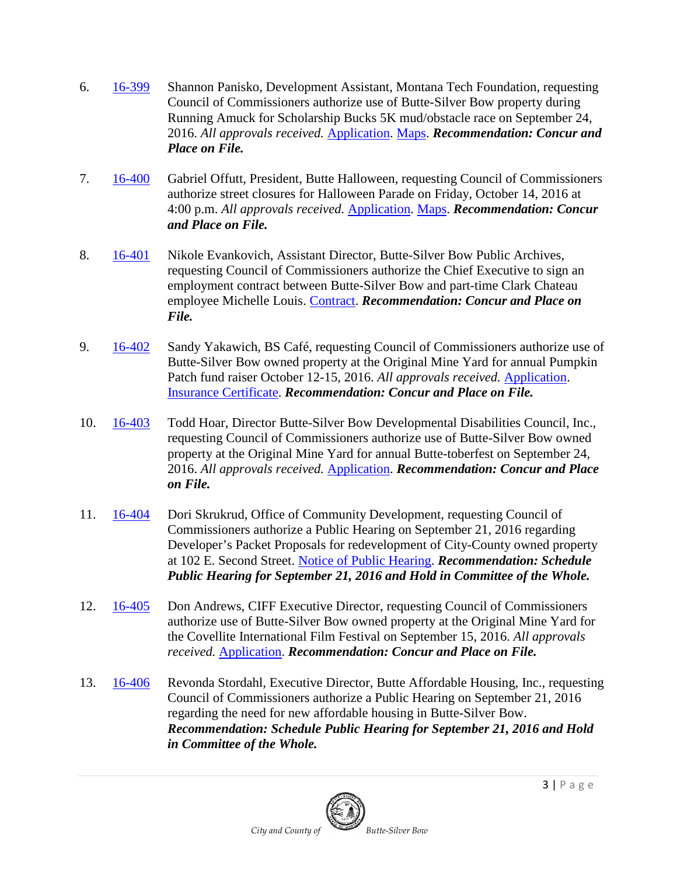- 6. [16-399](http://www.co.silverbow.mt.us/DocumentCenter/View/7969) Shannon Panisko, Development Assistant, Montana Tech Foundation, requesting Council of Commissioners authorize use of Butte-Silver Bow property during Running Amuck for Scholarship Bucks 5K mud/obstacle race on September 24, 2016. *All approvals received.* [Application.](http://www.co.silverbow.mt.us/DocumentCenter/View/7966) [Maps.](http://www.co.silverbow.mt.us/DocumentCenter/View/7968) *Recommendation: Concur and Place on File.*
- 7. [16-400](http://www.co.silverbow.mt.us/DocumentCenter/View/7973) Gabriel Offutt, President, Butte Halloween, requesting Council of Commissioners authorize street closures for Halloween Parade on Friday, October 14, 2016 at 4:00 p.m. *All approvals received.* [Application.](http://www.co.silverbow.mt.us/DocumentCenter/View/7970) [Maps.](http://www.co.silverbow.mt.us/DocumentCenter/View/7972) *Recommendation: Concur and Place on File.*
- 8. [16-401](http://www.co.silverbow.mt.us/DocumentCenter/View/7975) Nikole Evankovich, Assistant Director, Butte-Silver Bow Public Archives, requesting Council of Commissioners authorize the Chief Executive to sign an employment contract between Butte-Silver Bow and part-time Clark Chateau employee Michelle Louis. [Contract.](http://www.co.silverbow.mt.us/DocumentCenter/View/7974) *Recommendation: Concur and Place on File.*
- 9. [16-402](http://www.co.silverbow.mt.us/DocumentCenter/View/7979) Sandy Yakawich, BS Café, requesting Council of Commissioners authorize use of Butte-Silver Bow owned property at the Original Mine Yard for annual Pumpkin Patch fund raiser October 12-15, 2016. *All approvals received.* [Application.](http://www.co.silverbow.mt.us/DocumentCenter/View/7976) [Insurance Certificate.](http://www.co.silverbow.mt.us/DocumentCenter/View/7978) *Recommendation: Concur and Place on File.*
- 10. [16-403](http://www.co.silverbow.mt.us/DocumentCenter/View/7982) Todd Hoar, Director Butte-Silver Bow Developmental Disabilities Council, Inc., requesting Council of Commissioners authorize use of Butte-Silver Bow owned property at the Original Mine Yard for annual Butte-toberfest on September 24, 2016. *All approvals received.* [Application.](http://www.co.silverbow.mt.us/DocumentCenter/View/7980) *Recommendation: Concur and Place on File.*
- 11. [16-404](http://www.co.silverbow.mt.us/DocumentCenter/View/7984) Dori Skrukrud, Office of Community Development, requesting Council of Commissioners authorize a Public Hearing on September 21, 2016 regarding Developer's Packet Proposals for redevelopment of City-County owned property at 102 E. Second Street. [Notice of Public Hearing.](http://www.co.silverbow.mt.us/DocumentCenter/View/7983) *Recommendation: Schedule Public Hearing for September 21, 2016 and Hold in Committee of the Whole.*
- 12. [16-405](http://www.co.silverbow.mt.us/DocumentCenter/View/7987) Don Andrews, CIFF Executive Director, requesting Council of Commissioners authorize use of Butte-Silver Bow owned property at the Original Mine Yard for the Covellite International Film Festival on September 15, 2016. *All approvals received.* [Application.](http://www.co.silverbow.mt.us/DocumentCenter/View/7985) *Recommendation: Concur and Place on File.*
- 13. [16-406](http://co.silverbow.mt.us/DocumentCenter/View/8055) Revonda Stordahl, Executive Director, Butte Affordable Housing, Inc., requesting Council of Commissioners authorize a Public Hearing on September 21, 2016 regarding the need for new affordable housing in Butte-Silver Bow. *Recommendation: Schedule Public Hearing for September 21, 2016 and Hold in Committee of the Whole.*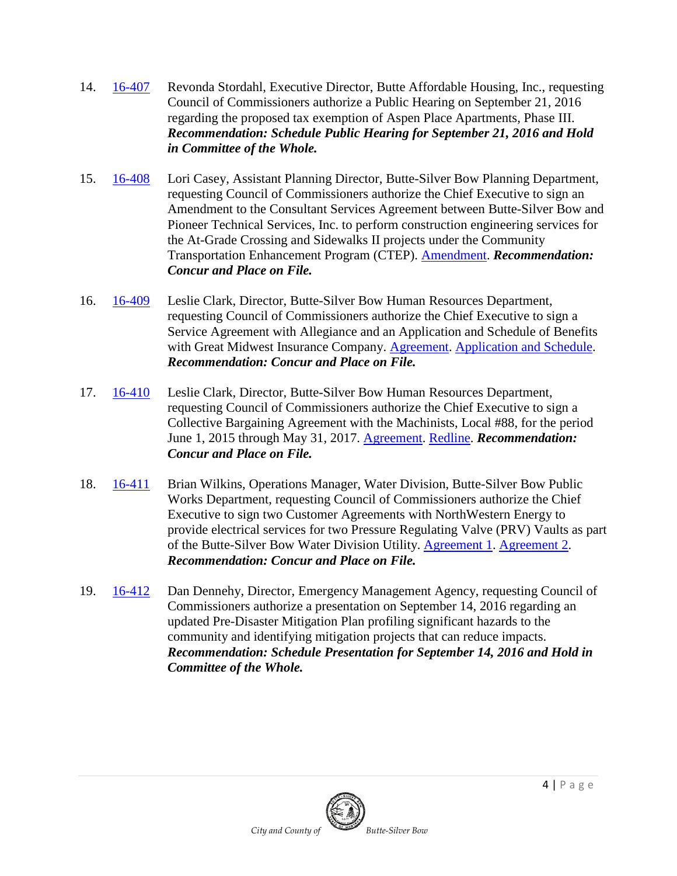- 14. [16-407](http://co.silverbow.mt.us/DocumentCenter/View/8054) Revonda Stordahl, Executive Director, Butte Affordable Housing, Inc., requesting Council of Commissioners authorize a Public Hearing on September 21, 2016 regarding the proposed tax exemption of Aspen Place Apartments, Phase III. *Recommendation: Schedule Public Hearing for September 21, 2016 and Hold in Committee of the Whole.*
- 15. [16-408](http://co.silverbow.mt.us/DocumentCenter/View/8053) Lori Casey, Assistant Planning Director, Butte-Silver Bow Planning Department, requesting Council of Commissioners authorize the Chief Executive to sign an Amendment to the Consultant Services Agreement between Butte-Silver Bow and Pioneer Technical Services, Inc. to perform construction engineering services for the At-Grade Crossing and Sidewalks II projects under the Community Transportation Enhancement Program (CTEP). [Amendment.](http://co.silverbow.mt.us/DocumentCenter/View/8052) *Recommendation: Concur and Place on File.*
- 16. [16-409](http://co.silverbow.mt.us/DocumentCenter/View/8037) Leslie Clark, Director, Butte-Silver Bow Human Resources Department, requesting Council of Commissioners authorize the Chief Executive to sign a Service Agreement with Allegiance and an Application and Schedule of Benefits with Great Midwest Insurance Company. [Agreement.](http://co.silverbow.mt.us/DocumentCenter/View/8035) [Application and Schedule.](http://co.silverbow.mt.us/DocumentCenter/View/8036) *Recommendation: Concur and Place on File.*
- 17. [16-410](http://co.silverbow.mt.us/DocumentCenter/View/8034) Leslie Clark, Director, Butte-Silver Bow Human Resources Department, requesting Council of Commissioners authorize the Chief Executive to sign a Collective Bargaining Agreement with the Machinists, Local #88, for the period June 1, 2015 through May 31, 2017. [Agreement.](http://co.silverbow.mt.us/DocumentCenter/View/8033) [Redline.](http://co.silverbow.mt.us/DocumentCenter/View/8032) *Recommendation: Concur and Place on File.*
- 18. [16-411](http://co.silverbow.mt.us/DocumentCenter/View/8031) Brian Wilkins, Operations Manager, Water Division, Butte-Silver Bow Public Works Department, requesting Council of Commissioners authorize the Chief Executive to sign two Customer Agreements with NorthWestern Energy to provide electrical services for two Pressure Regulating Valve (PRV) Vaults as part of the Butte-Silver Bow Water Division Utility. [Agreement 1.](http://co.silverbow.mt.us/DocumentCenter/View/8009) [Agreement 2.](http://co.silverbow.mt.us/DocumentCenter/View/8008) *Recommendation: Concur and Place on File.*
- 19. [16-412](http://co.silverbow.mt.us/DocumentCenter/View/8056) Dan Dennehy, Director, Emergency Management Agency, requesting Council of Commissioners authorize a presentation on September 14, 2016 regarding an updated Pre-Disaster Mitigation Plan profiling significant hazards to the community and identifying mitigation projects that can reduce impacts. *Recommendation: Schedule Presentation for September 14, 2016 and Hold in Committee of the Whole.*

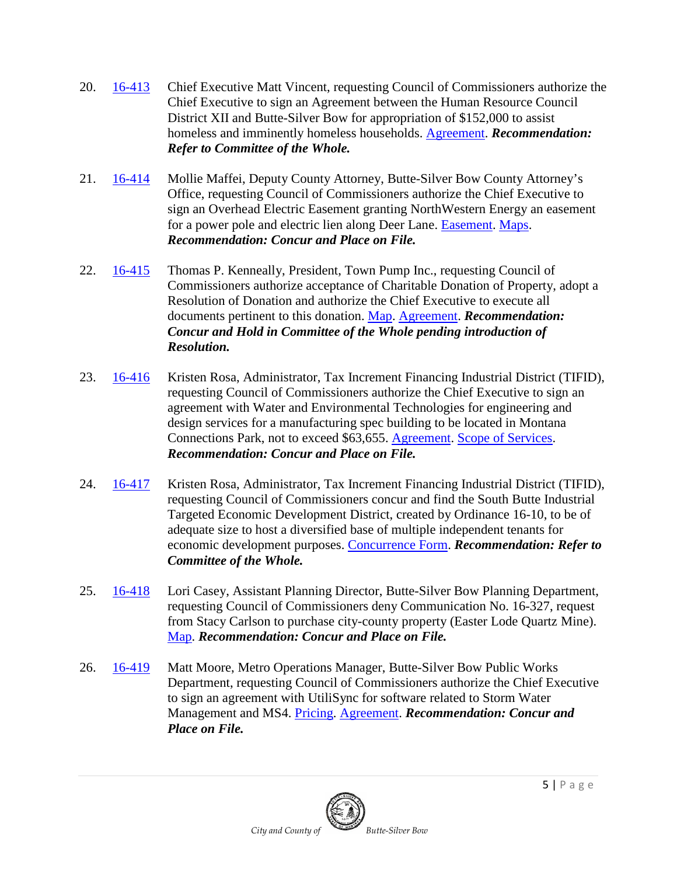- 20. [16-413](http://co.silverbow.mt.us/DocumentCenter/View/8030) Chief Executive Matt Vincent, requesting Council of Commissioners authorize the Chief Executive to sign an Agreement between the Human Resource Council District XII and Butte-Silver Bow for appropriation of \$152,000 to assist homeless and imminently homeless households. [Agreement.](http://co.silverbow.mt.us/DocumentCenter/View/8029) *Recommendation: Refer to Committee of the Whole.*
- 21. [16-414](http://co.silverbow.mt.us/DocumentCenter/View/8028) Mollie Maffei, Deputy County Attorney, Butte-Silver Bow County Attorney's Office, requesting Council of Commissioners authorize the Chief Executive to sign an Overhead Electric Easement granting NorthWestern Energy an easement for a power pole and electric lien along Deer Lane. [Easement.](http://co.silverbow.mt.us/DocumentCenter/View/8027) [Maps.](http://co.silverbow.mt.us/DocumentCenter/View/8026) *Recommendation: Concur and Place on File.*
- 22. [16-415](http://co.silverbow.mt.us/DocumentCenter/View/8025) Thomas P. Kenneally, President, Town Pump Inc., requesting Council of Commissioners authorize acceptance of Charitable Donation of Property, adopt a Resolution of Donation and authorize the Chief Executive to execute all documents pertinent to this donation. [Map.](http://co.silverbow.mt.us/DocumentCenter/View/8024) [Agreement.](http://co.silverbow.mt.us/DocumentCenter/View/8023) *Recommendation: Concur and Hold in Committee of the Whole pending introduction of Resolution.*
- 23. [16-416](http://co.silverbow.mt.us/DocumentCenter/View/8022) Kristen Rosa, Administrator, Tax Increment Financing Industrial District (TIFID), requesting Council of Commissioners authorize the Chief Executive to sign an agreement with Water and Environmental Technologies for engineering and design services for a manufacturing spec building to be located in Montana Connections Park, not to exceed \$63,655. [Agreement.](http://co.silverbow.mt.us/DocumentCenter/View/8021) [Scope of Services.](http://co.silverbow.mt.us/DocumentCenter/View/8020) *Recommendation: Concur and Place on File.*
- 24. [16-417](http://co.silverbow.mt.us/DocumentCenter/View/8019) Kristen Rosa, Administrator, Tax Increment Financing Industrial District (TIFID), requesting Council of Commissioners concur and find the South Butte Industrial Targeted Economic Development District, created by Ordinance 16-10, to be of adequate size to host a diversified base of multiple independent tenants for economic development purposes. [Concurrence Form.](http://co.silverbow.mt.us/DocumentCenter/View/8018) *Recommendation: Refer to Committee of the Whole.*
- 25. [16-418](http://co.silverbow.mt.us/DocumentCenter/View/8017) Lori Casey, Assistant Planning Director, Butte-Silver Bow Planning Department, requesting Council of Commissioners deny Communication No. 16-327, request from Stacy Carlson to purchase city-county property (Easter Lode Quartz Mine). [Map.](http://co.silverbow.mt.us/DocumentCenter/View/8016) *Recommendation: Concur and Place on File.*
- 26. [16-419](http://co.silverbow.mt.us/DocumentCenter/View/8015) Matt Moore, Metro Operations Manager, Butte-Silver Bow Public Works Department, requesting Council of Commissioners authorize the Chief Executive to sign an agreement with UtiliSync for software related to Storm Water Management and MS4. [Pricing.](http://co.silverbow.mt.us/DocumentCenter/View/8014) [Agreement.](http://co.silverbow.mt.us/DocumentCenter/View/8013) *Recommendation: Concur and Place on File.*

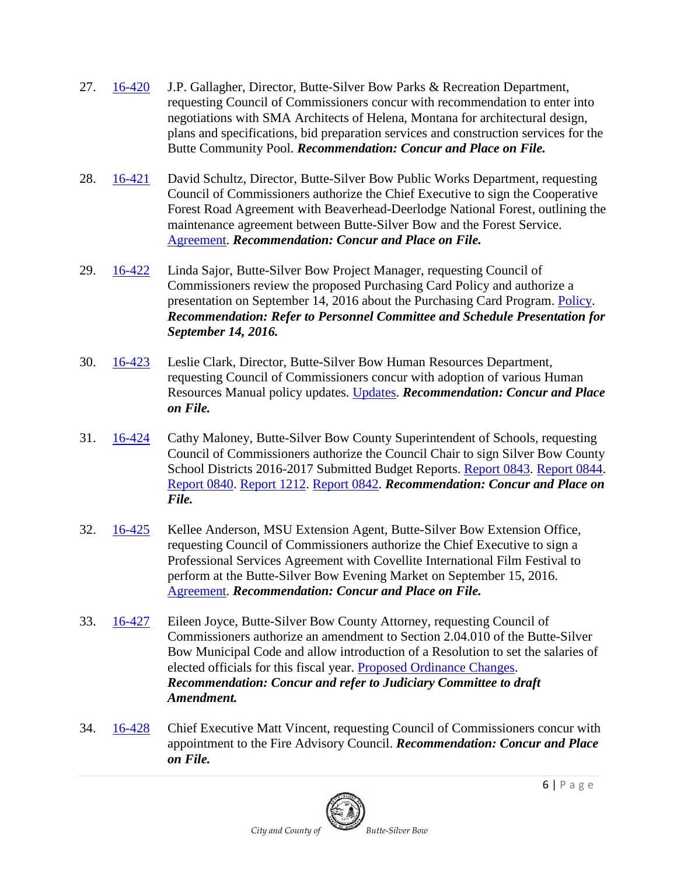- 27. [16-420](http://co.silverbow.mt.us/DocumentCenter/View/8012) J.P. Gallagher, Director, Butte-Silver Bow Parks & Recreation Department, requesting Council of Commissioners concur with recommendation to enter into negotiations with SMA Architects of Helena, Montana for architectural design, plans and specifications, bid preparation services and construction services for the Butte Community Pool. *Recommendation: Concur and Place on File.*
- 28. [16-421](http://co.silverbow.mt.us/DocumentCenter/View/8011) David Schultz, Director, Butte-Silver Bow Public Works Department, requesting Council of Commissioners authorize the Chief Executive to sign the Cooperative Forest Road Agreement with Beaverhead-Deerlodge National Forest, outlining the maintenance agreement between Butte-Silver Bow and the Forest Service. [Agreement.](http://co.silverbow.mt.us/DocumentCenter/View/8010) *Recommendation: Concur and Place on File.*
- 29. [16-422](http://co.silverbow.mt.us/DocumentCenter/View/8057) Linda Sajor, Butte-Silver Bow Project Manager, requesting Council of Commissioners review the proposed Purchasing Card Policy and authorize a presentation on September 14, 2016 about the Purchasing Card Program. [Policy.](http://co.silverbow.mt.us/DocumentCenter/View/8007) *Recommendation: Refer to Personnel Committee and Schedule Presentation for September 14, 2016.*
- 30. [16-423](http://co.silverbow.mt.us/DocumentCenter/View/8006) Leslie Clark, Director, Butte-Silver Bow Human Resources Department, requesting Council of Commissioners concur with adoption of various Human Resources Manual policy updates. [Updates.](http://co.silverbow.mt.us/DocumentCenter/View/8005) *Recommendation: Concur and Place on File.*
- 31. [16-424](http://co.silverbow.mt.us/DocumentCenter/View/8072) Cathy Maloney, Butte-Silver Bow County Superintendent of Schools, requesting Council of Commissioners authorize the Council Chair to sign Silver Bow County School Districts 2016-2017 Submitted Budget Reports. [Report 0843.](http://co.silverbow.mt.us/DocumentCenter/View/8071) [Report 0844.](http://co.silverbow.mt.us/DocumentCenter/View/8070) [Report 0840.](http://co.silverbow.mt.us/DocumentCenter/View/8069) [Report 1212.](http://co.silverbow.mt.us/DocumentCenter/View/8068) [Report 0842.](http://co.silverbow.mt.us/DocumentCenter/View/8067) *Recommendation: Concur and Place on File.*
- 32. [16-425](http://co.silverbow.mt.us/DocumentCenter/View/8066) Kellee Anderson, MSU Extension Agent, Butte-Silver Bow Extension Office, requesting Council of Commissioners authorize the Chief Executive to sign a Professional Services Agreement with Covellite International Film Festival to perform at the Butte-Silver Bow Evening Market on September 15, 2016. [Agreement.](http://co.silverbow.mt.us/DocumentCenter/View/8065) *Recommendation: Concur and Place on File.*
- 33. [16-427](http://co.silverbow.mt.us/DocumentCenter/View/8061) Eileen Joyce, Butte-Silver Bow County Attorney, requesting Council of Commissioners authorize an amendment to Section 2.04.010 of the Butte-Silver Bow Municipal Code and allow introduction of a Resolution to set the salaries of elected officials for this fiscal year. [Proposed Ordinance Changes.](http://co.silverbow.mt.us/DocumentCenter/View/8060) *Recommendation: Concur and refer to Judiciary Committee to draft Amendment.*
- 34. [16-428](http://co.silverbow.mt.us/DocumentCenter/View/8073) Chief Executive Matt Vincent, requesting Council of Commissioners concur with appointment to the Fire Advisory Council. *Recommendation: Concur and Place on File.*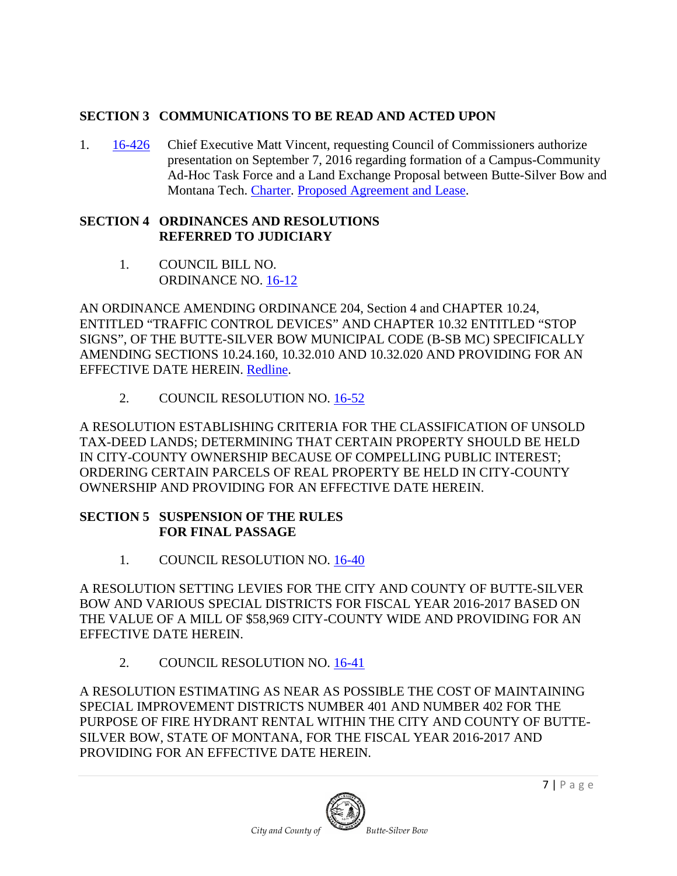## **SECTION 3 COMMUNICATIONS TO BE READ AND ACTED UPON**

1. [16-426](http://co.silverbow.mt.us/DocumentCenter/View/8064) Chief Executive Matt Vincent, requesting Council of Commissioners authorize presentation on September 7, 2016 regarding formation of a Campus-Community Ad-Hoc Task Force and a Land Exchange Proposal between Butte-Silver Bow and Montana Tech. [Charter.](http://co.silverbow.mt.us/DocumentCenter/View/8063) [Proposed Agreement and Lease.](http://co.silverbow.mt.us/DocumentCenter/View/8062)

#### **SECTION 4 ORDINANCES AND RESOLUTIONS REFERRED TO JUDICIARY**

1. COUNCIL BILL NO. ORDINANCE NO. [16-12](http://www.co.silverbow.mt.us/DocumentCenter/View/7989)

AN ORDINANCE AMENDING ORDINANCE 204, Section 4 and CHAPTER 10.24, ENTITLED "TRAFFIC CONTROL DEVICES" AND CHAPTER 10.32 ENTITLED "STOP SIGNS", OF THE BUTTE-SILVER BOW MUNICIPAL CODE (B-SB MC) SPECIFICALLY AMENDING SECTIONS 10.24.160, 10.32.010 AND 10.32.020 AND PROVIDING FOR AN EFFECTIVE DATE HEREIN. [Redline.](http://www.co.silverbow.mt.us/DocumentCenter/View/7988)

2. COUNCIL RESOLUTION NO. [16-52](http://www.co.silverbow.mt.us/DocumentCenter/View/7998)

A RESOLUTION ESTABLISHING CRITERIA FOR THE CLASSIFICATION OF UNSOLD TAX-DEED LANDS; DETERMINING THAT CERTAIN PROPERTY SHOULD BE HELD IN CITY-COUNTY OWNERSHIP BECAUSE OF COMPELLING PUBLIC INTEREST; ORDERING CERTAIN PARCELS OF REAL PROPERTY BE HELD IN CITY-COUNTY OWNERSHIP AND PROVIDING FOR AN EFFECTIVE DATE HEREIN.

### **SECTION 5 SUSPENSION OF THE RULES FOR FINAL PASSAGE**

1. COUNCIL RESOLUTION NO. [16-40](http://co.silverbow.mt.us/DocumentCenter/View/8051)

A RESOLUTION SETTING LEVIES FOR THE CITY AND COUNTY OF BUTTE-SILVER BOW AND VARIOUS SPECIAL DISTRICTS FOR FISCAL YEAR 2016-2017 BASED ON THE VALUE OF A MILL OF \$58,969 CITY-COUNTY WIDE AND PROVIDING FOR AN EFFECTIVE DATE HEREIN.

2. COUNCIL RESOLUTION NO. [16-41](http://co.silverbow.mt.us/DocumentCenter/View/8050)

A RESOLUTION ESTIMATING AS NEAR AS POSSIBLE THE COST OF MAINTAINING SPECIAL IMPROVEMENT DISTRICTS NUMBER 401 AND NUMBER 402 FOR THE PURPOSE OF FIRE HYDRANT RENTAL WITHIN THE CITY AND COUNTY OF BUTTE-SILVER BOW, STATE OF MONTANA, FOR THE FISCAL YEAR 2016-2017 AND PROVIDING FOR AN EFFECTIVE DATE HEREIN.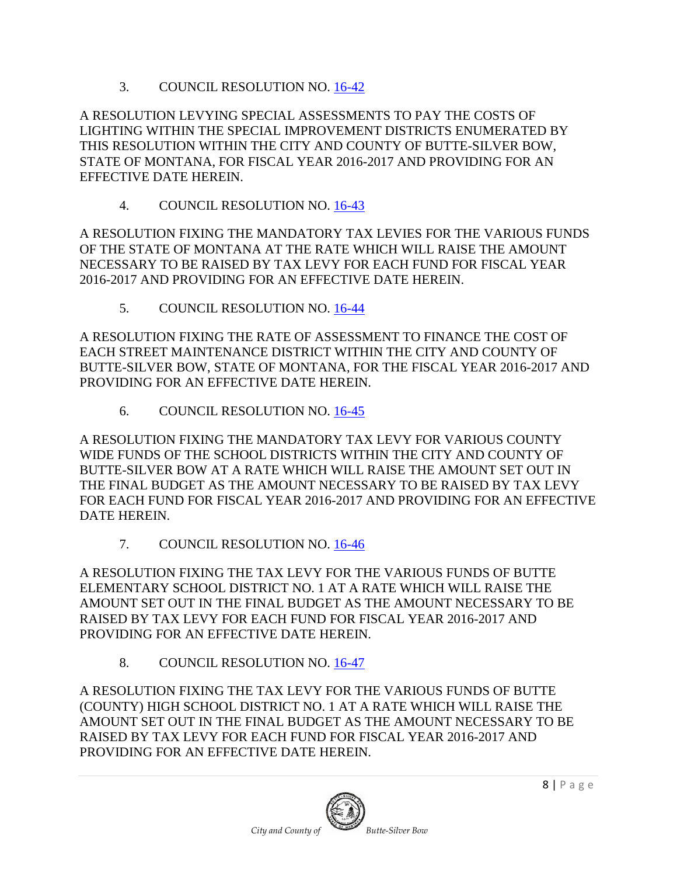3. COUNCIL RESOLUTION NO. [16-42](http://co.silverbow.mt.us/DocumentCenter/View/8049)

A RESOLUTION LEVYING SPECIAL ASSESSMENTS TO PAY THE COSTS OF LIGHTING WITHIN THE SPECIAL IMPROVEMENT DISTRICTS ENUMERATED BY THIS RESOLUTION WITHIN THE CITY AND COUNTY OF BUTTE-SILVER BOW, STATE OF MONTANA, FOR FISCAL YEAR 2016-2017 AND PROVIDING FOR AN EFFECTIVE DATE HEREIN.

4. COUNCIL RESOLUTION NO. [16-43](http://co.silverbow.mt.us/DocumentCenter/View/8048)

A RESOLUTION FIXING THE MANDATORY TAX LEVIES FOR THE VARIOUS FUNDS OF THE STATE OF MONTANA AT THE RATE WHICH WILL RAISE THE AMOUNT NECESSARY TO BE RAISED BY TAX LEVY FOR EACH FUND FOR FISCAL YEAR 2016-2017 AND PROVIDING FOR AN EFFECTIVE DATE HEREIN.

5. COUNCIL RESOLUTION NO. [16-44](http://co.silverbow.mt.us/DocumentCenter/View/8047)

A RESOLUTION FIXING THE RATE OF ASSESSMENT TO FINANCE THE COST OF EACH STREET MAINTENANCE DISTRICT WITHIN THE CITY AND COUNTY OF BUTTE-SILVER BOW, STATE OF MONTANA, FOR THE FISCAL YEAR 2016-2017 AND PROVIDING FOR AN EFFECTIVE DATE HEREIN.

6. COUNCIL RESOLUTION NO. [16-45](http://co.silverbow.mt.us/DocumentCenter/View/8046)

A RESOLUTION FIXING THE MANDATORY TAX LEVY FOR VARIOUS COUNTY WIDE FUNDS OF THE SCHOOL DISTRICTS WITHIN THE CITY AND COUNTY OF BUTTE-SILVER BOW AT A RATE WHICH WILL RAISE THE AMOUNT SET OUT IN THE FINAL BUDGET AS THE AMOUNT NECESSARY TO BE RAISED BY TAX LEVY FOR EACH FUND FOR FISCAL YEAR 2016-2017 AND PROVIDING FOR AN EFFECTIVE DATE HEREIN.

7. COUNCIL RESOLUTION NO. [16-46](http://co.silverbow.mt.us/DocumentCenter/View/8045)

A RESOLUTION FIXING THE TAX LEVY FOR THE VARIOUS FUNDS OF BUTTE ELEMENTARY SCHOOL DISTRICT NO. 1 AT A RATE WHICH WILL RAISE THE AMOUNT SET OUT IN THE FINAL BUDGET AS THE AMOUNT NECESSARY TO BE RAISED BY TAX LEVY FOR EACH FUND FOR FISCAL YEAR 2016-2017 AND PROVIDING FOR AN EFFECTIVE DATE HEREIN.

8. COUNCIL RESOLUTION NO. [16-47](http://co.silverbow.mt.us/DocumentCenter/View/8038)

A RESOLUTION FIXING THE TAX LEVY FOR THE VARIOUS FUNDS OF BUTTE (COUNTY) HIGH SCHOOL DISTRICT NO. 1 AT A RATE WHICH WILL RAISE THE AMOUNT SET OUT IN THE FINAL BUDGET AS THE AMOUNT NECESSARY TO BE RAISED BY TAX LEVY FOR EACH FUND FOR FISCAL YEAR 2016-2017 AND PROVIDING FOR AN EFFECTIVE DATE HEREIN.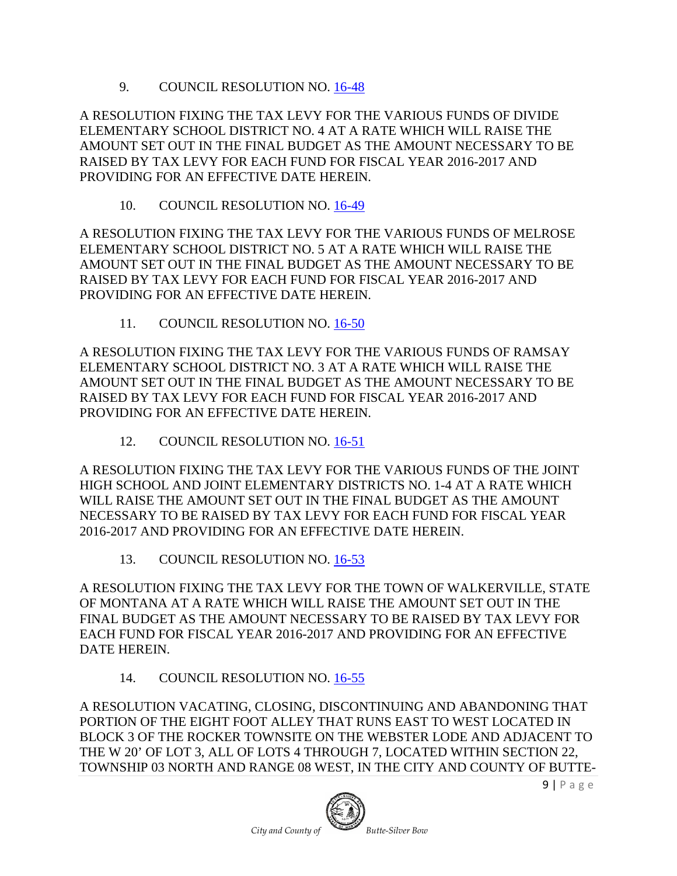9. COUNCIL RESOLUTION NO. [16-48](http://co.silverbow.mt.us/DocumentCenter/View/8043)

A RESOLUTION FIXING THE TAX LEVY FOR THE VARIOUS FUNDS OF DIVIDE ELEMENTARY SCHOOL DISTRICT NO. 4 AT A RATE WHICH WILL RAISE THE AMOUNT SET OUT IN THE FINAL BUDGET AS THE AMOUNT NECESSARY TO BE RAISED BY TAX LEVY FOR EACH FUND FOR FISCAL YEAR 2016-2017 AND PROVIDING FOR AN EFFECTIVE DATE HEREIN.

10. COUNCIL RESOLUTION NO. [16-49](http://co.silverbow.mt.us/DocumentCenter/View/8042)

A RESOLUTION FIXING THE TAX LEVY FOR THE VARIOUS FUNDS OF MELROSE ELEMENTARY SCHOOL DISTRICT NO. 5 AT A RATE WHICH WILL RAISE THE AMOUNT SET OUT IN THE FINAL BUDGET AS THE AMOUNT NECESSARY TO BE RAISED BY TAX LEVY FOR EACH FUND FOR FISCAL YEAR 2016-2017 AND PROVIDING FOR AN EFFECTIVE DATE HEREIN.

11. COUNCIL RESOLUTION NO. [16-50](http://co.silverbow.mt.us/DocumentCenter/View/8041)

A RESOLUTION FIXING THE TAX LEVY FOR THE VARIOUS FUNDS OF RAMSAY ELEMENTARY SCHOOL DISTRICT NO. 3 AT A RATE WHICH WILL RAISE THE AMOUNT SET OUT IN THE FINAL BUDGET AS THE AMOUNT NECESSARY TO BE RAISED BY TAX LEVY FOR EACH FUND FOR FISCAL YEAR 2016-2017 AND PROVIDING FOR AN EFFECTIVE DATE HEREIN.

12. COUNCIL RESOLUTION NO. [16-51](http://co.silverbow.mt.us/DocumentCenter/View/8040)

A RESOLUTION FIXING THE TAX LEVY FOR THE VARIOUS FUNDS OF THE JOINT HIGH SCHOOL AND JOINT ELEMENTARY DISTRICTS NO. 1-4 AT A RATE WHICH WILL RAISE THE AMOUNT SET OUT IN THE FINAL BUDGET AS THE AMOUNT NECESSARY TO BE RAISED BY TAX LEVY FOR EACH FUND FOR FISCAL YEAR 2016-2017 AND PROVIDING FOR AN EFFECTIVE DATE HEREIN.

13. COUNCIL RESOLUTION NO. [16-53](http://co.silverbow.mt.us/DocumentCenter/View/8039)

A RESOLUTION FIXING THE TAX LEVY FOR THE TOWN OF WALKERVILLE, STATE OF MONTANA AT A RATE WHICH WILL RAISE THE AMOUNT SET OUT IN THE FINAL BUDGET AS THE AMOUNT NECESSARY TO BE RAISED BY TAX LEVY FOR EACH FUND FOR FISCAL YEAR 2016-2017 AND PROVIDING FOR AN EFFECTIVE DATE HEREIN.

14. COUNCIL RESOLUTION NO. [16-55](http://co.silverbow.mt.us/DocumentCenter/View/8059)

A RESOLUTION VACATING, CLOSING, DISCONTINUING AND ABANDONING THAT PORTION OF THE EIGHT FOOT ALLEY THAT RUNS EAST TO WEST LOCATED IN BLOCK 3 OF THE ROCKER TOWNSITE ON THE WEBSTER LODE AND ADJACENT TO THE W 20' OF LOT 3, ALL OF LOTS 4 THROUGH 7, LOCATED WITHIN SECTION 22, TOWNSHIP 03 NORTH AND RANGE 08 WEST, IN THE CITY AND COUNTY OF BUTTE-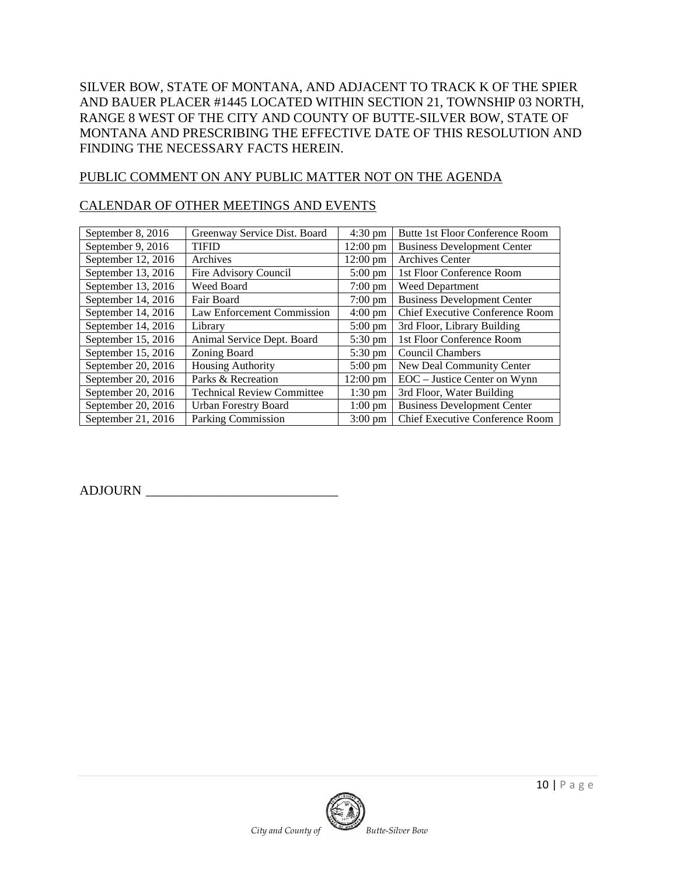SILVER BOW, STATE OF MONTANA, AND ADJACENT TO TRACK K OF THE SPIER AND BAUER PLACER #1445 LOCATED WITHIN SECTION 21, TOWNSHIP 03 NORTH, RANGE 8 WEST OF THE CITY AND COUNTY OF BUTTE-SILVER BOW, STATE OF MONTANA AND PRESCRIBING THE EFFECTIVE DATE OF THIS RESOLUTION AND FINDING THE NECESSARY FACTS HEREIN.

### PUBLIC COMMENT ON ANY PUBLIC MATTER NOT ON THE AGENDA

#### CALENDAR OF OTHER MEETINGS AND EVENTS

| September 8, 2016    | Greenway Service Dist. Board      | $4:30 \text{ pm}$  | Butte 1st Floor Conference Room        |
|----------------------|-----------------------------------|--------------------|----------------------------------------|
| September 9, 2016    | <b>TIFID</b>                      | $12:00 \text{ pm}$ | <b>Business Development Center</b>     |
| September 12, 2016   | Archives                          | $12:00 \text{ pm}$ | <b>Archives Center</b>                 |
| September 13, 2016   | Fire Advisory Council             | $5:00 \text{ pm}$  | 1st Floor Conference Room              |
| September 13, 2016   | Weed Board                        | $7:00 \text{ pm}$  | <b>Weed Department</b>                 |
| September 14, 2016   | Fair Board                        | $7:00 \text{ pm}$  | <b>Business Development Center</b>     |
| September 14, 2016   | Law Enforcement Commission        | $4:00 \text{ pm}$  | <b>Chief Executive Conference Room</b> |
| September 14, 2016   | Library                           | $5:00 \text{ pm}$  | 3rd Floor, Library Building            |
| September $15, 2016$ | Animal Service Dept. Board        | $5:30 \text{ pm}$  | 1st Floor Conference Room              |
| September 15, 2016   | Zoning Board                      | 5:30 pm            | <b>Council Chambers</b>                |
| September 20, $2016$ | <b>Housing Authority</b>          | $5:00 \text{ pm}$  | New Deal Community Center              |
| September 20, $2016$ | Parks & Recreation                | $12:00 \text{ pm}$ | EOC – Justice Center on Wynn           |
| September 20, 2016   | <b>Technical Review Committee</b> | $1:30 \text{ pm}$  | 3rd Floor, Water Building              |
| September 20, $2016$ | <b>Urban Forestry Board</b>       | $1:00 \text{ pm}$  | <b>Business Development Center</b>     |
| September 21, 2016   | <b>Parking Commission</b>         | $3:00 \text{ pm}$  | <b>Chief Executive Conference Room</b> |

ADJOURN \_\_\_\_\_\_\_\_\_\_\_\_\_\_\_\_\_\_\_\_\_\_\_\_\_\_\_\_\_

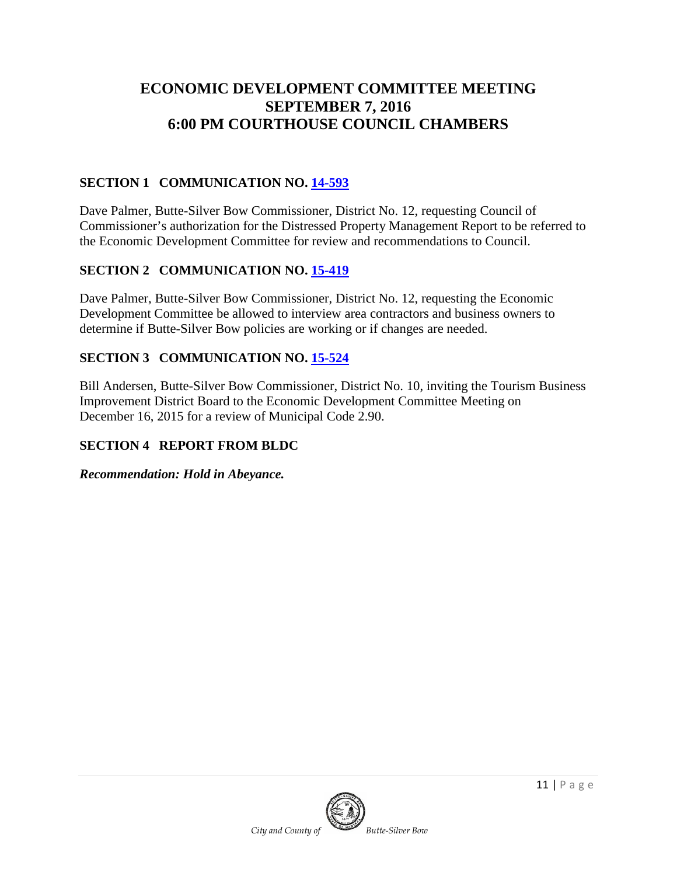# **ECONOMIC DEVELOPMENT COMMITTEE MEETING SEPTEMBER 7, 2016 6:00 PM COURTHOUSE COUNCIL CHAMBERS**

## **SECTION 1 COMMUNICATION NO. [14-593](http://co.silverbow.mt.us/DocumentCenter/View/3922)**

Dave Palmer, Butte-Silver Bow Commissioner, District No. 12, requesting Council of Commissioner's authorization for the Distressed Property Management Report to be referred to the Economic Development Committee for review and recommendations to Council.

## **SECTION 2 COMMUNICATION NO. [15-419](http://co.silverbow.mt.us/DocumentCenter/View/5426)**

Dave Palmer, Butte-Silver Bow Commissioner, District No. 12, requesting the Economic Development Committee be allowed to interview area contractors and business owners to determine if Butte-Silver Bow policies are working or if changes are needed.

### **SECTION 3 COMMUNICATION NO. [15-524](http://co.silverbow.mt.us/DocumentCenter/View/6042)**

Bill Andersen, Butte-Silver Bow Commissioner, District No. 10, inviting the Tourism Business Improvement District Board to the Economic Development Committee Meeting on December 16, 2015 for a review of Municipal Code 2.90.

### **SECTION 4 REPORT FROM BLDC**

*Recommendation: Hold in Abeyance.*

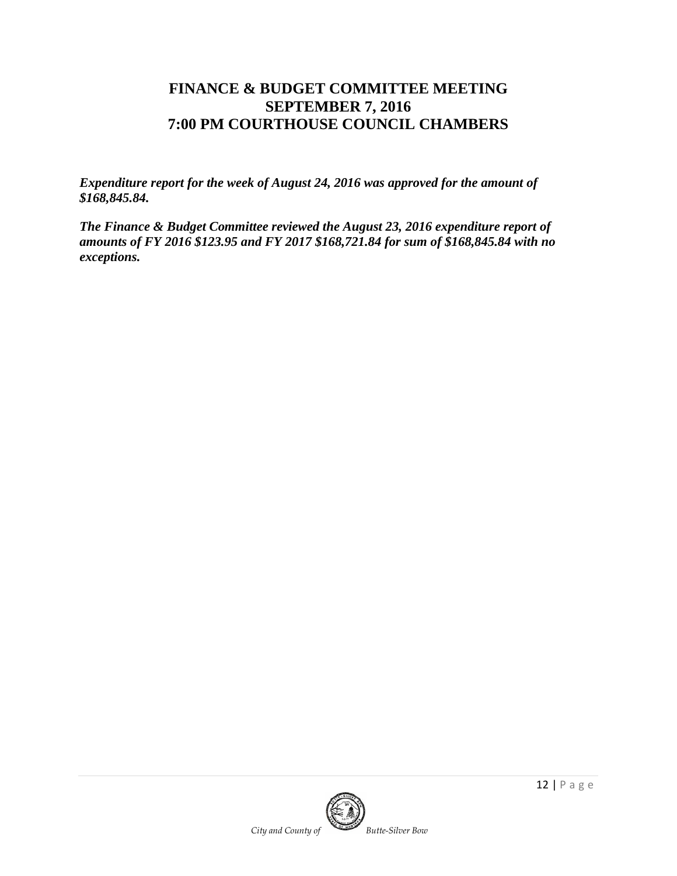# **FINANCE & BUDGET COMMITTEE MEETING SEPTEMBER 7, 2016 7:00 PM COURTHOUSE COUNCIL CHAMBERS**

*Expenditure report for the week of August 24, 2016 was approved for the amount of \$168,845.84.*

*The Finance & Budget Committee reviewed the August 23, 2016 expenditure report of amounts of FY 2016 \$123.95 and FY 2017 \$168,721.84 for sum of \$168,845.84 with no exceptions.* 

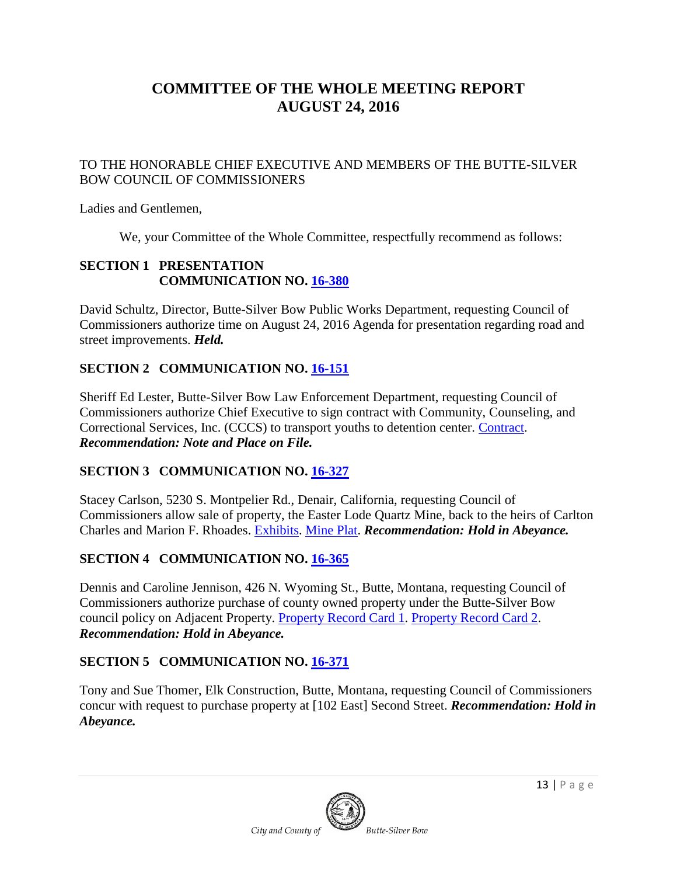# **COMMITTEE OF THE WHOLE MEETING REPORT AUGUST 24, 2016**

### TO THE HONORABLE CHIEF EXECUTIVE AND MEMBERS OF THE BUTTE-SILVER BOW COUNCIL OF COMMISSIONERS

Ladies and Gentlemen,

We, your Committee of the Whole Committee, respectfully recommend as follows:

### **SECTION 1 PRESENTATION COMMUNICATION NO. [16-380](http://co.silverbow.mt.us/DocumentCenter/View/7862)**

David Schultz, Director, Butte-Silver Bow Public Works Department, requesting Council of Commissioners authorize time on August 24, 2016 Agenda for presentation regarding road and street improvements. *Held.*

## **SECTION 2 COMMUNICATION NO. [16-151](http://co.silverbow.mt.us/DocumentCenter/View/6831)**

Sheriff Ed Lester, Butte-Silver Bow Law Enforcement Department, requesting Council of Commissioners authorize Chief Executive to sign contract with Community, Counseling, and Correctional Services, Inc. (CCCS) to transport youths to detention center. [Contract.](http://co.silverbow.mt.us/DocumentCenter/View/6832) *Recommendation: Note and Place on File.*

## **SECTION 3 COMMUNICATION NO. [16-327](http://co.silverbow.mt.us/DocumentCenter/View/7615)**

Stacey Carlson, 5230 S. Montpelier Rd., Denair, California, requesting Council of Commissioners allow sale of property, the Easter Lode Quartz Mine, back to the heirs of Carlton Charles and Marion F. Rhoades. [Exhibits.](http://co.silverbow.mt.us/DocumentCenter/View/7616) [Mine Plat.](http://co.silverbow.mt.us/DocumentCenter/View/7617) *Recommendation: Hold in Abeyance.*

## **SECTION 4 COMMUNICATION NO. [16-365](http://co.silverbow.mt.us/DocumentCenter/View/7770)**

Dennis and Caroline Jennison, 426 N. Wyoming St., Butte, Montana, requesting Council of Commissioners authorize purchase of county owned property under the Butte-Silver Bow council policy on Adjacent Property. [Property Record Card](http://co.silverbow.mt.us/DocumentCenter/View/7771) 1. [Property Record Card](http://co.silverbow.mt.us/DocumentCenter/View/7772) 2. *Recommendation: Hold in Abeyance.*

## **SECTION 5 COMMUNICATION NO. [16-371](http://co.silverbow.mt.us/DocumentCenter/View/7780)**

Tony and Sue Thomer, Elk Construction, Butte, Montana, requesting Council of Commissioners concur with request to purchase property at [102 East] Second Street. *Recommendation: Hold in Abeyance.*

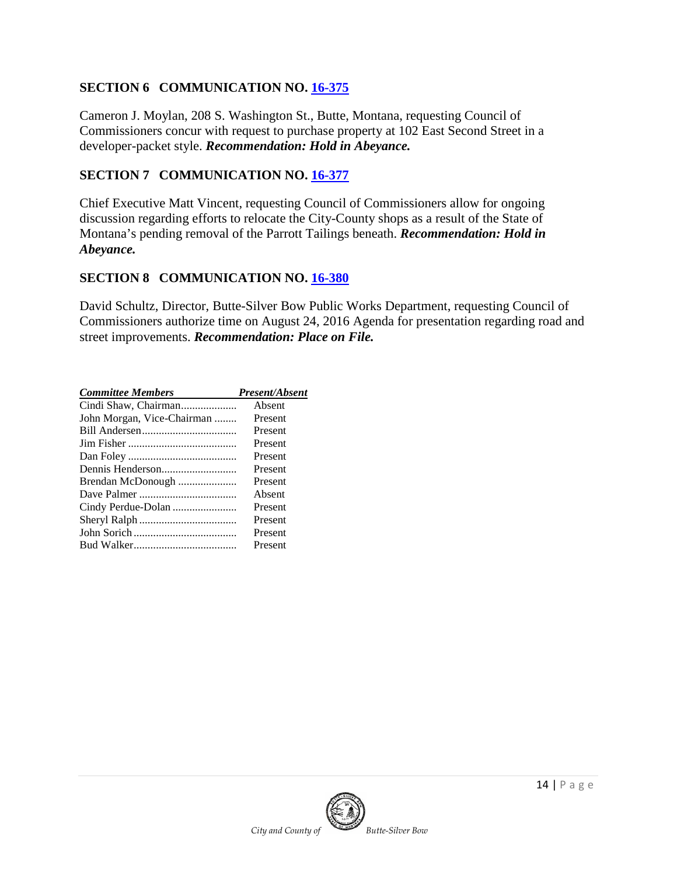### **SECTION 6 COMMUNICATION NO. [16-375](https://mt-buttesilverbow.civicplus.com/DocumentCenter/View/7796)**

Cameron J. Moylan, 208 S. Washington St., Butte, Montana, requesting Council of Commissioners concur with request to purchase property at 102 East Second Street in a developer-packet style. *Recommendation: Hold in Abeyance.*

### **SECTION 7 COMMUNICATION NO. [16-377](https://mt-buttesilverbow.civicplus.com/DocumentCenter/View/7800)**

Chief Executive Matt Vincent, requesting Council of Commissioners allow for ongoing discussion regarding efforts to relocate the City-County shops as a result of the State of Montana's pending removal of the Parrott Tailings beneath. *Recommendation: Hold in Abeyance.*

### **SECTION 8 COMMUNICATION NO. [16-380](http://co.silverbow.mt.us/DocumentCenter/View/7862)**

David Schultz, Director, Butte-Silver Bow Public Works Department, requesting Council of Commissioners authorize time on August 24, 2016 Agenda for presentation regarding road and street improvements. *Recommendation: Place on File.*

| <b>Committee Members</b>   | <b>Present/Absent</b> |
|----------------------------|-----------------------|
|                            | Absent                |
| John Morgan, Vice-Chairman | Present               |
|                            | Present               |
|                            | Present               |
|                            | Present               |
|                            | Present               |
| Brendan McDonough          | Present               |
|                            | Absent                |
| Cindy Perdue-Dolan         | Present               |
|                            | Present               |
|                            | Present               |
|                            | Present               |
|                            |                       |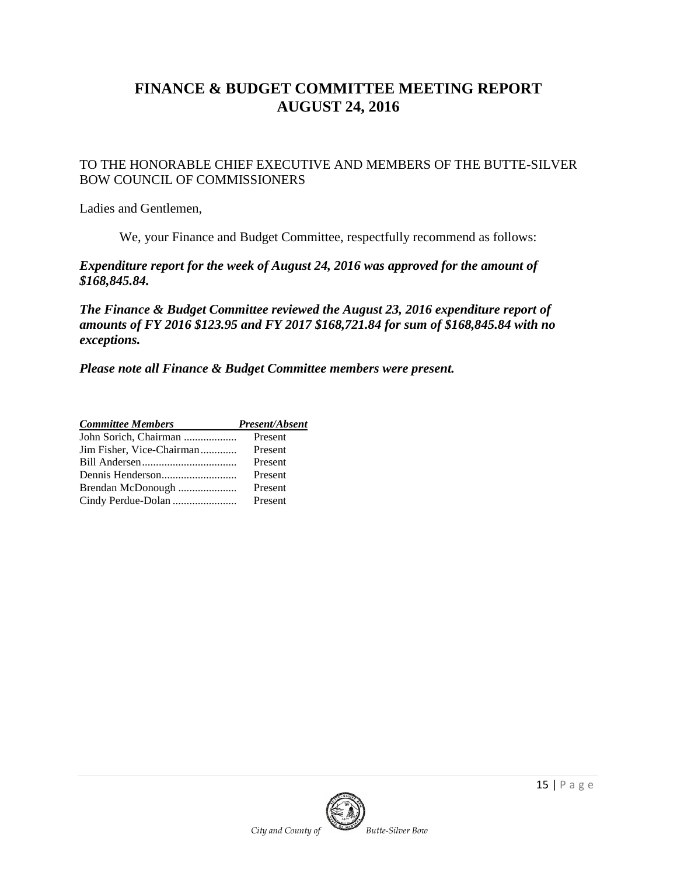# **FINANCE & BUDGET COMMITTEE MEETING REPORT AUGUST 24, 2016**

TO THE HONORABLE CHIEF EXECUTIVE AND MEMBERS OF THE BUTTE-SILVER BOW COUNCIL OF COMMISSIONERS

Ladies and Gentlemen,

We, your Finance and Budget Committee, respectfully recommend as follows:

*Expenditure report for the week of August 24, 2016 was approved for the amount of \$168,845.84.*

*The Finance & Budget Committee reviewed the August 23, 2016 expenditure report of amounts of FY 2016 \$123.95 and FY 2017 \$168,721.84 for sum of \$168,845.84 with no exceptions.* 

*Please note all Finance & Budget Committee members were present.*

| <b>Committee Members</b>  | <b>Present/Absent</b> |  |
|---------------------------|-----------------------|--|
| John Sorich, Chairman     | Present               |  |
| Jim Fisher, Vice-Chairman | Present               |  |
|                           | Present               |  |
|                           | Present               |  |
| Brendan McDonough         | Present               |  |
|                           | Present               |  |

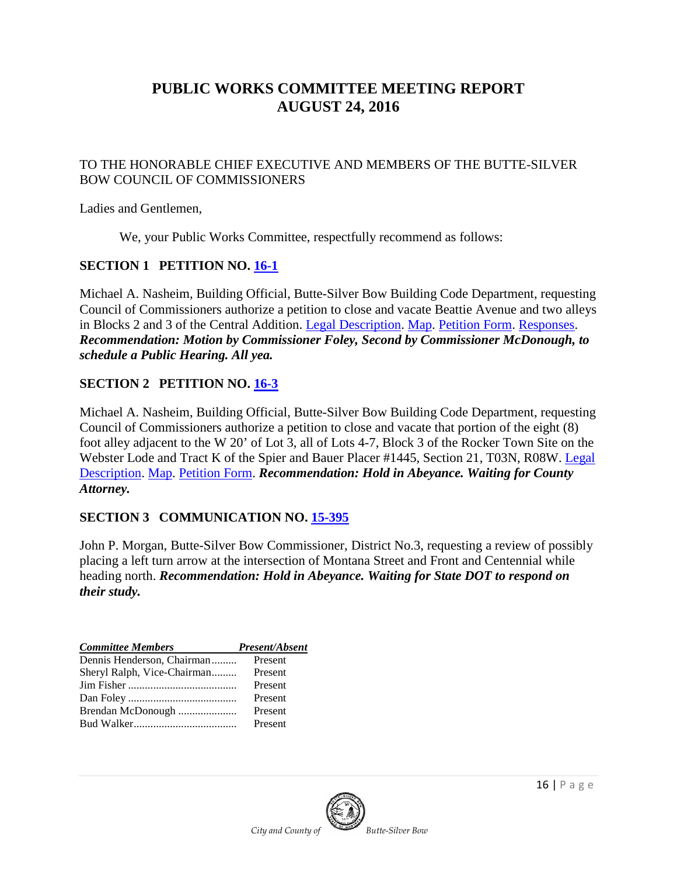# **PUBLIC WORKS COMMITTEE MEETING REPORT AUGUST 24, 2016**

#### TO THE HONORABLE CHIEF EXECUTIVE AND MEMBERS OF THE BUTTE-SILVER BOW COUNCIL OF COMMISSIONERS

Ladies and Gentlemen,

We, your Public Works Committee, respectfully recommend as follows:

### **SECTION 1 PETITION NO. [16-1](http://co.silverbow.mt.us/DocumentCenter/View/7891)**

Michael A. Nasheim, Building Official, Butte-Silver Bow Building Code Department, requesting Council of Commissioners authorize a petition to close and vacate Beattie Avenue and two alleys in Blocks 2 and 3 of the Central Addition. [Legal Description.](http://co.silverbow.mt.us/DocumentCenter/View/7892) [Map.](http://co.silverbow.mt.us/DocumentCenter/View/7893) [Petition Form.](http://co.silverbow.mt.us/DocumentCenter/View/7894) [Responses.](http://co.silverbow.mt.us/DocumentCenter/View/7915) *Recommendation: Motion by Commissioner Foley, Second by Commissioner McDonough, to schedule a Public Hearing. All yea.*

### **SECTION 2 PETITION NO. [16-3](http://co.silverbow.mt.us/DocumentCenter/View/7550)**

Michael A. Nasheim, Building Official, Butte-Silver Bow Building Code Department, requesting Council of Commissioners authorize a petition to close and vacate that portion of the eight (8) foot alley adjacent to the W 20' of Lot 3, all of Lots 4-7, Block 3 of the Rocker Town Site on the Webster Lode and Tract K of the Spier and Bauer Placer #1445, Section 21, T03N, R08W. [Legal](http://co.silverbow.mt.us/DocumentCenter/View/7552)  [Description.](http://co.silverbow.mt.us/DocumentCenter/View/7552) [Map.](http://co.silverbow.mt.us/DocumentCenter/View/7553) [Petition Form.](http://co.silverbow.mt.us/DocumentCenter/View/7551) *Recommendation: Hold in Abeyance. Waiting for County Attorney.*

#### **SECTION 3 COMMUNICATION NO. [15-395](http://co.silverbow.mt.us/DocumentCenter/View/5303)**

John P. Morgan, Butte-Silver Bow Commissioner, District No.3, requesting a review of possibly placing a left turn arrow at the intersection of Montana Street and Front and Centennial while heading north. *Recommendation: Hold in Abeyance. Waiting for State DOT to respond on their study.*

| <b>Committee Members</b>    | Present/Absent |
|-----------------------------|----------------|
| Dennis Henderson, Chairman  | Present        |
| Sheryl Ralph, Vice-Chairman | Present        |
|                             | Present        |
|                             | Present        |
| Brendan McDonough           | Present        |
|                             | Present        |